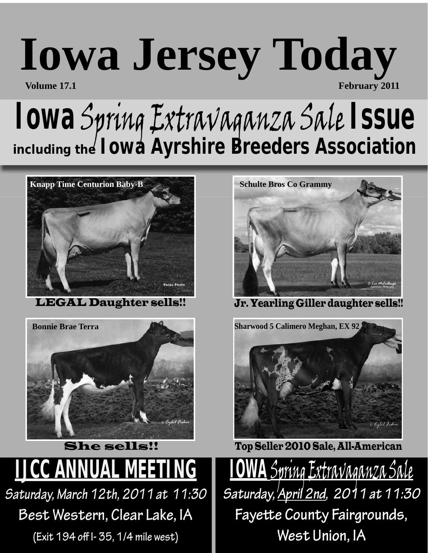## **Iowa Jersey Today Volume 17.1** February 2011

## **Iowa** Spring Extravaganza Sale **Issue** *including the Iowa Ayrshire Breeders Association*



LEGAL Daughter sells!!



**IJCC ANNUAL MEETING** *Saturday, March 12th, 2011 at 11:30*  She sells!!

**Best Western, Clear Lake, IA** 

**(Exit 194 off I- 35, 1/4 mile west)**



Jr. Yearling Giller daughter sells!!



Top Seller 2010 Sale, All-American

**IOWA** Spring Extravaganza Sale *Saturday, April 2nd, 2011 at 11:30* **Fayette County Fairgrounds, West Union, IA**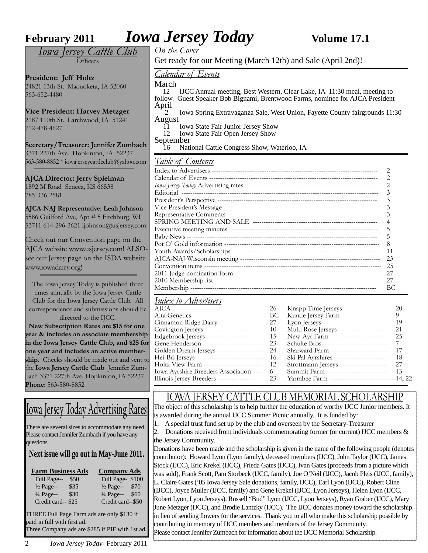**February 2011 IOWA Jersey Today Volume 17.1** 

*Iowa Jersey Cattle Club*  $\tilde{\Omega}$ fficers

**President: Jeff Holtz** 24821 13th St. Maquoketa, IA 52060 563-652-4480

**Vice President: Harvey Metzger** 2187 110th St. Larchwood, IA 51241 712-478-4627

**Secretary/Treasurer: Jennifer Zumbach** 3371 227th Ave. Hopkinton, IA 52237 563-580-8852 \* iowajerseycattleclub@yahoo.com

**AJCA Director: Jerry Spielman** 1892 M Road Seneca, KS 66538 785-336-2581

**AJCA-NAJ Representative: Leah Johnson** 5586 Guilford Ave, Apt # 5 Fitchburg, WI 53711 614-296-3621 ljohnson@usjersey.com

Check out our Convention page on the AJCA website www.usjersey.com! ALSOsee our Jersey page on the ISDA website www.iowadairy.org!

The Iowa Jersey Today is published three times annually by the Iowa Jersey Cattle Club for the Iowa Jersey Cattle Club. All correspondence and submissions should be directed to the IJCC.

 **New Subscription Rates are \$15 for one year & includes an associate membership in the Iowa Jersey Cattle Club, and \$25 for one year and includes an active membership.** Checks should be made out and sent to the **Iowa Jersey Cattle Club** Jennifer Zumbach 3371 227th Ave. Hopkinton, IA 52237 **Phone**: 563-580-8852

#### Iowa Jersey Today Advertising Rates

There are several sizes to accommodate any need. Please contact Jennifer Zumbach if you have any questions.

#### **Next issue will go out in May-June 2011.**

| <b>Farm Business Ads</b> | <b>Company Ads</b> |                      |      |  |  |
|--------------------------|--------------------|----------------------|------|--|--|
| Full Page--              | \$50               | Full Page-\$100      |      |  |  |
| $\frac{1}{2}$ Page--     | \$35               | $\frac{1}{2}$ Page-- | \$70 |  |  |
| $\frac{1}{4}$ Page--     | \$30               | 1/4 Page-- \$60      |      |  |  |
| Credit card--\$25        |                    | Credit card--\$50    |      |  |  |
|                          |                    |                      |      |  |  |

THREE Full Page Farm ads are only \$130 if paid in full with first ad. Three Company ads are \$285 if PIF with 1st ad.

2 *Iowa Jersey Today*- February 2011

*On the Cover*

Get ready for our Meeting (March 12th) and Sale (April 2nd)!

#### *Calendar of Events*

March<br> $12$ 

 12 IJCC Annual meeting, Best Western, Clear Lake, IA 11:30 meal, meeting to follow. Guest Speaker Bob Bignami, Brentwood Farms, nominee for AJCA President

April 2 Iowa Spring Extravaganza Sale, West Union, Fayette County fairgrounds 11:30 August

- 11 Iowa State Fair Junior Jersey Show<br>12 Iowa State Fair Open Jersey Show
- Iowa State Fair Open Jersey Show

September

16 National Cattle Congress Show, Waterloo, IA

#### *Table of Contents*

| 23 |
|----|
| 25 |
| 27 |
| 27 |
| BС |

#### *Index to Advertisers*

|                                                       | Knapp Time Jerseys --------------------- 20            |     |
|-------------------------------------------------------|--------------------------------------------------------|-----|
|                                                       | Kunde Jersey Farm ---------------------- 9             |     |
| Cinnamon Ridge Dairy --------------------- 27         | Lyon Jerseys ---------------------------------- 19     |     |
| Covington Jerseys -------------------------------- 10 | Multi Rose Jerseys ------------------------ 21         |     |
| Edgebrook Jerseys ---------------------- 15           | New-Ayr Farm ---------------------------- 25           |     |
| Gene Henderson --------------------------------- 23   |                                                        |     |
| Golden Dream Jerseys --------------------- 24         | Sharward Farm --------------------------- 17           |     |
| Hei-Bri Jerseys --------------------------------- 16  | Ski Pal Ayrshires --------------------------           | -18 |
| Holtz View Farm ------------------------------- 12    | Strottmann Jerseys ---------------------- 27           |     |
| Iowa Ayrshire Breeders Association ---- 6             | Summit Farm -----------------------------              | 13  |
|                                                       | Yarrabee Farm ----------------------------------14, 22 |     |
|                                                       |                                                        |     |

#### IOWA JERSEY CATTLE CLUB MEMORIAL SCHOLARSHIP

The object of this scholarship is to help further the education of worthy IJCC Junior members. It is awarded during the annual IJCC Summer Picnic annually. It is funded by:

- 1. A special trust fund set up by the club and overseen by the Secretary-Treasurer
- 2. Donations received from individuals commemorating former (or current) IJCC members & the Jersey Community.

Donations have been made and the scholarship is given in the name of the following people (denotes contributor): Howard Lyon (Lyon family), deceased members (IJCC), John Taylor (IJCC), James Stock (IJCC), Eric Krekel (IJCC), Frieda Gates (IJCC), Ivan Gates (proceeds from a picture which was sold), Frank Scott, Pam Storbeck (IJCC, family), Joe O'Neil (IJCC), Jacob Pleis (IJCC, family), L. Claire Gates ('05 Iowa Jersey Sale donations, family, IJCC), Earl Lyon (IJCC), Robert Cline (IJCC), Joyce Muller (IJCC, family) and Gene Krekel (IJCC, Lyon Jerseys), Helen Lyon (IJCC, Robert Lyon, Lyon Jerseys), Russell "Bud" Lyon (IJCC, Lyon Jerseys), Ryan Graber (IJCC), Mary June Metzger (IJCC), and Brodie Lantzky (IJCC). The IJCC donates money toward the scholarship in lieu of sending flowers for the services. Thank you to all who make this scholarship possible by contributing in memory of IJCC members and members of the Jersey Community. Please contact Jennifer Zumbach for information about the IJCC Memorial Scholarship.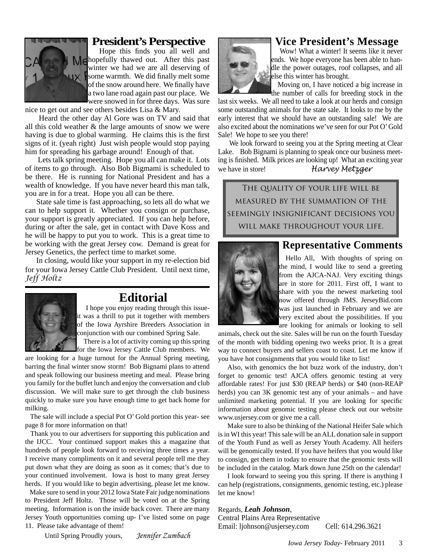

#### **President's Perspective**

Hope this finds you all well and **Me** hopefully thawed out. After this past winter we had we are all deserving of  $\mathbf{I} \times \mathbf{I}$  some warmth. We did finally melt some of the snow around here. We finally have a two lane road again past our place. We were snowed in for three days. Was sure

nice to get out and see others besides Lisa & Mary.

 Heard the other day Al Gore was on TV and said that all this cold weather & the large amounts of snow we were having is due to global warming. He claims this is the first signs of it. (yeah right) Just wish people would stop paying him for spreading his garbage around! Enough of that.

 Lets talk spring meeting. Hope you all can make it. Lots of items to go through. Also Bob Bigmami is scheduled to be there. He is running for National President and has a wealth of knowledge. If you have never heard this man talk, you are in for a treat. Hope you all can be there.

State sale time is fast approaching, so lets all do what we can to help support it. Whether you consign or purchase, your support is greatly appreciated. If you can help before, during or after the sale, get in contact with Dave Koss and he will be happy to put you to work. This is a great time to be working with the great Jersey cow. Demand is great for Jersey Genetics, the perfect time to market some.

In closing, would like your support in my re-election bid for your Iowa Jersey Cattle Club President. Until next time, *Jeff Holtz*



#### **Editorial**

 I hope you enjoy reading through this issueit was a thrill to put it together with members of the Iowa Ayrshire Breeders Association in conjunction with our combined Spring Sale.

 There is a lot of activity coming up this spring for the Iowa Jersey Cattle Club members. We

are looking for a huge turnout for the Annual Spring meeting, barring the final winter snow storm! Bob Bignami plans to attend and speak following our business meeting and meal. Please bring you family for the buffet lunch and enjoy the conversation and club discussion. We will make sure to get through the club business quickly to make sure you have enough time to get back home for milking.

 The sale will include a special Pot O' Gold portion this year- see page 8 for more information on that!

 Thank you to our advertisers for supporting this publication and the IJCC. Your continued support makes this a magazine that hundreds of people look forward to receiving three times a year. I receive many compliments on it and several people tell me they put down what they are doing as soon as it comes; that's due to your continued involvement. Iowa is host to many great Jersey herds. If you would like to begin advertising, please let me know.

 Make sure to send in your 2012 Iowa State Fair judge nominations to President Jeff Holtz. Those will be voted on at the Spring meeting. Information is on the inside back cover. There are many Jersey Youth opportunities coming up- I've listed some on page 11. Please take advantage of them!

Until Spring Proudly yours, *Jennifer Zumbach*

#### **Vice President's Message**

Wow! What a winter! It seems like it never ends. We hope everyone has been able to handle the power outages, roof collapses, and all else this winter has brought.

 Moving on, I have noticed a big increase in the number of calls for breeding stock in the

last six weeks. We all need to take a look at our herds and consign some outstanding animals for the state sale. It looks to me by the early interest that we should have an outstanding sale! We are also excited about the nominations we've seen for our Pot O' Gold Sale! We hope to see you there!

 We look forward to seeing you at the Spring meeting at Clear Lake. Bob Bignami is planning to speak once our business meeting is finished. Milk prices are looking up! What an exciting year we have in store! *Harvey Metzger*

The quality of your life will be measured by the summation of the seemingly insignificant decisions you will make throughout your life.



#### **Representative Comments**

 Hello All, With thoughts of spring on the mind, I would like to send a greeting from the AJCA-NAJ. Very exciting things are in store for 2011. First off, I want to share with you the newest marketing tool now offered through JMS. JerseyBid.com was just launched in February and we are very excited about the possibilities. If you are looking for animals or looking to sell

animals, check out the site. Sales will be run on the fourth Tuesday of the month with bidding opening two weeks prior. It is a great way to connect buyers and sellers coast to coast. Let me know if you have hot consignments that you would like to list!

Also, with genomics the hot buzz work of the industry, don't forget to genomic test! AJCA offers genomic testing at very affordable rates! For just \$30 (REAP herds) or \$40 (non-REAP herds) you can 3K genomic test any of your animals – and have unlimited marketing potential. If you are looking for specific information about genomic testing please check out our website www.usjersey.com or give me a call.

Make sure to also be thinking of the National Heifer Sale which is in WI this year! This sale will be an ALL donation sale in support of the Youth Fund as well as Jersey Youth Academy. All heifers will be genomically tested. If you have heifers that you would like to consign, get them in today to ensure that the genomic tests will be included in the catalog. Mark down June 25th on the calendar!

I look forward to seeing you this spring. If there is anything I can help (registrations, consignments, genomic testing, etc.) please let me know!

Regards, *Leah Johnson*, Central Plains Area Representative Email: ljohnson@usjersey.com Cell: 614.296.3621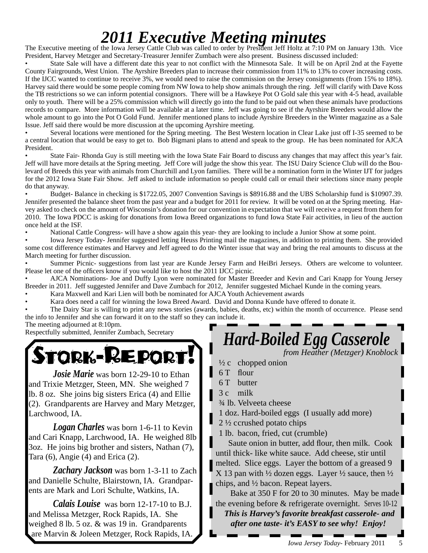## *2011 Executive Meeting minutes* The Executive meeting of the Iowa Jersey Cattle Club was called to order by President Jeff Holtz at 7:10 PM on January 13th. Vice

President, Harvey Metzger and Secretary-Treasurer Jennifer Zumbach were also present. Business discussed included:

State Sale will have a different date this year to not conflict with the Minnesota Sale. It will be on April 2nd at the Fayette County Fairgrounds, West Union. The Ayrshire Breeders plan to increase their commission from 11% to 13% to cover increasing costs. If the IJCC wanted to continue to receive 3%, we would need to raise the commission on the Jersey consignments (from 15% to 18%). Harvey said there would be some people coming from NW Iowa to help show animals through the ring. Jeff will clarify with Dave Koss the TB restrictions so we can inform potential consignors. There will be a Hawkeye Pot O Gold sale this year with 4-5 head, available only to youth. There will be a 25% commission which will directly go into the fund to be paid out when these animals have productions records to compare. More information will be available at a later time. Jeff was going to see if the Ayrshire Breeders would allow the whole amount to go into the Pot O Gold Fund. Jennifer mentioned plans to include Ayrshire Breeders in the Winter magazine as a Sale Issue. Jeff said there would be more discussion at the upcoming Ayrshire meeting.

• Several locations were mentioned for the Spring meeting. The Best Western location in Clear Lake just off I-35 seemed to be a central location that would be easy to get to. Bob Bigmani plans to attend and speak to the group. He has been nominated for AJCA President.

• State Fair- Rhonda Guy is still meeting with the Iowa State Fair Board to discuss any changes that may affect this year's fair. Jeff will have more details at the Spring meeting. Jeff Core will judge the show this year. The ISU Dairy Science Club will do the Boulevard of Breeds this year with animals from Churchill and Lyon families. There will be a nomination form in the Winter IJT for judges for the 2012 Iowa State Fair Show. Jeff asked to include information so people could call or email their selections since many people do that anyway.

• Budget- Balance in checking is \$1722.05, 2007 Convention Savings is \$8916.88 and the UBS Scholarship fund is \$10907.39. Jennifer presented the balance sheet from the past year and a budget for 2011 for review. It will be voted on at the Spring meeting. Harvey asked to check on the amount of Wisconsin's donation for our convention in expectation that we will receive a request from them for 2010. The Iowa PDCC is asking for donations from Iowa Breed organizations to fund Iowa State Fair activities, in lieu of the auction once held at the ISF.

• National Cattle Congress- will have a show again this year- they are looking to include a Junior Show at some point.

• Iowa Jersey Today- Jennifer suggested letting Heuss Printing mail the magazines, in addition to printing them. She provided some cost difference estimates and Harvey and Jeff agreed to do the Winter issue that way and bring the real amounts to discuss at the March meeting for further discussion.

• Summer Picnic- suggestions from last year are Kunde Jersey Farm and HeiBri Jerseys. Others are welcome to volunteer. Please let one of the officers know if you would like to host the 2011 IJCC picnic.

• AJCA Nominations- Joe and Duffy Lyon were nominated for Master Breeder and Kevin and Cari Knapp for Young Jersey Breeder in 2011. Jeff suggested Jennifer and Dave Zumbach for 2012, Jennifer suggested Michael Kunde in the coming years.

• Kara Maxwell and Kari Lien will both be nominated for AJCA Youth Achievement awards

• Kara does need a calf for winning the Iowa Breed Award. David and Donna Kunde have offered to donate it.

• The Dairy Star is willing to print any news stories (awards, babies, deaths, etc) within the month of occurrence. Please send the info to Jennifer and she can forward it on to the staff so they can include it.

The meeting adjourned at 8:10pm.



 *Josie Marie* was born 12-29-10 to Ethan and Trixie Metzger, Steen, MN. She weighed 7 lb. 8 oz. She joins big sisters Erica (4) and Ellie (2). Grandparents are Harvey and Mary Metzger, Larchwood, IA.

 *Logan Charles* was born 1-6-11 to Kevin and Cari Knapp, Larchwood, IA. He weighed 8lb 3oz. He joins big brother and sisters, Nathan (7), Tara (6), Angie (4) and Erica (2).

 *Zachary Jackson* was born 1-3-11 to Zach and Danielle Schulte, Blairstown, IA. Grandparents are Mark and Lori Schulte, Watkins, IA.

*Calais Louise* was born 12-17-10 to B.J. and Melissa Metzger, Rock Rapids, IA. She weighed 8 lb. 5 oz. & was 19 in. Grandparents are Marvin & Joleen Metzger, Rock Rapids, IA.

### Respectfully submitted, Jennifer Zumbach, Secretary *Hard-Boiled Egg Casserole*

 *from Heather (Metzger) Knoblock* 

- $\frac{1}{2}c$  chopped onion
- 6 T flour
- 6 T butter
- 3 c milk
- ¾ lb. Velveeta cheese
- 1 doz. Hard-boiled eggs (I usually add more)
- $2\frac{1}{2}$  ccrushed potato chips
- 1 lb. bacon, fried, cut (crumble)

Saute onion in butter, add flour, then milk. Cook until thick- like white sauce. Add cheese, stir until melted. Slice eggs. Layer the bottom of a greased 9 X 13 pan with  $\frac{1}{2}$  dozen eggs. Layer  $\frac{1}{2}$  sauce, then  $\frac{1}{2}$ chips, and ½ bacon. Repeat layers.

Bake at 350 F for 20 to 30 minutes. May be made the evening before & refrigerate overnight. Serves 10-12 *This is Harvey's favorite breakfast casserole- and after one taste- it's EASY to see why! Enjoy!*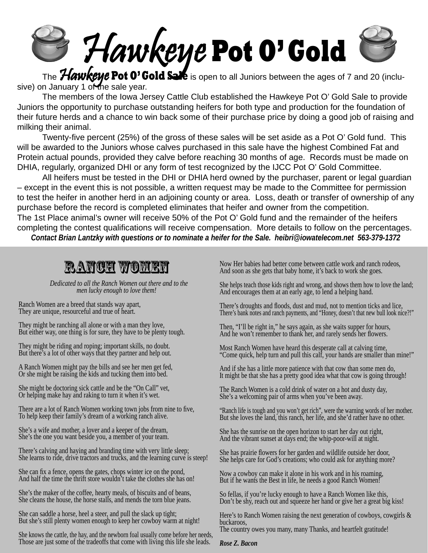

 The Hawkeye **Pot O' Gold Sale** is open to all Juniors between the ages of 7 and 20 (inclusive) on January 1 of the sale year.

 The members of the Iowa Jersey Cattle Club established the Hawkeye Pot O' Gold Sale to provide Juniors the opportunity to purchase outstanding heifers for both type and production for the foundation of their future herds and a chance to win back some of their purchase price by doing a good job of raising and milking their animal.

Twenty-five percent (25%) of the gross of these sales will be set aside as a Pot O' Gold fund. This will be awarded to the Juniors whose calves purchased in this sale have the highest Combined Fat and Protein actual pounds, provided they calve before reaching 30 months of age. Records must be made on DHIA, regularly, organized DHI or any form of test recognized by the IJCC Pot O' Gold Committee.

 All heifers must be tested in the DHI or DHIA herd owned by the purchaser, parent or legal guardian – except in the event this is not possible, a written request may be made to the Committee for permission to test the heifer in another herd in an adjoining county or area. Loss, death or transfer of ownership of any purchase before the record is completed eliminates that heifer and owner from the competition. The 1st Place animal's owner will receive 50% of the Pot O' Gold fund and the remainder of the heifers completing the contest qualifications will receive compensation. More details to follow on the percentages.

*Contact Brian Lantzky with questions or to nominate a heifer for the Sale. heibri@iowatelecom.net 563-379-1372* 

### Ranch Women

 *Dedicated to all the Ranch Women out there and to the men lucky enough to love them!*

Ranch Women are a breed that stands way apart, They are unique, resourceful and true of heart.

They might be ranching all alone or with a man they love, But either way, one thing is for sure, they have to be plenty tough.

They might be riding and roping; important skills, no doubt. But there's a lot of other ways that they partner and help out.

A Ranch Women might pay the bills and see her men get fed, Or she might be raising the kids and tucking them into bed.

She might be doctoring sick cattle and be the "On Call" vet, Or helping make hay and raking to turn it when it's wet.

There are a lot of Ranch Women working town jobs from nine to five, To help keep their family's dream of a working ranch alive.

She's a wife and mother, a lover and a keeper of the dream, She's the one you want beside you, a member of your team.

There's calving and haying and branding time with very little sleep; She learns to ride, drive tractors and trucks, and the learning curve is steep!

She can fix a fence, opens the gates, chops winter ice on the pond, And half the time the thrift store wouldn't take the clothes she has on!

She's the maker of the coffee, hearty meals, of biscuits and of beans, She cleans the house, the horse stalls, and mends the torn blue jeans.

She can saddle a horse, heel a steer, and pull the slack up tight; But she's still plenty women enough to keep her cowboy warm at night!

Those are just some of the tradeoffs that come with living this life she leads. She knows the cattle, the hay, and the newborn foal usually come before her needs, Now Her babies had better come between cattle work and ranch rodeos, And soon as she gets that baby home, it's back to work she goes.

She helps teach those kids right and wrong, and shows them how to love the land; And encourages them at an early age, to lend a helping hand.

There's droughts and floods, dust and mud, not to mention ticks and lice, There's bank notes and ranch payments, and "Honey, doesn't that new bull look nice?!"

Then, "I'll be right in," he says again, as she waits supper for hours, And he won't remember to thank her, and rarely sends her flowers.

Most Ranch Women have heard this desperate call at calving time, "Come quick, help turn and pull this calf, your hands are smaller than mine!"

And if she has a little more patience with that cow than some men do, It might be that she has a pretty good idea what that cow is going through!

The Ranch Women is a cold drink of water on a hot and dusty day, She's a welcoming pair of arms when you've been away.

"Ranch life is tough and you won't get rich", were the warning words of her mother. But she loves the land, this ranch, her life, and she'd rather have no other.

She has the sunrise on the open horizon to start her day out right, And the vibrant sunset at days end; the whip-poor-will at night.

She has prairie flowers for her garden and wildlife outside her door, She helps care for God's creations; who could ask for anything more?

Now a cowboy can make it alone in his work and in his roaming, But if he wants the Best in life, he needs a good Ranch Women!

So fellas, if you're lucky enough to have a Ranch Women like this, Don't be shy, reach out and squeeze her hand or give her a great big kiss!

Here's to Ranch Women raising the next generation of cowboys, cowgirls  $\&$ buckaroos,

The country owes you many, many Thanks, and heartfelt gratitude!

#### *Rose Z. Bacon*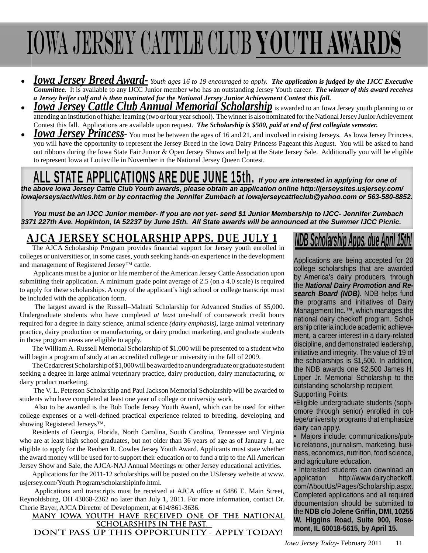# Iowa Jersey Cattle Club **Youth Awards**

- *Iowa Jersey Breed Award- Youth ages 16 to 19 encouraged to apply. The application is judged by the IJCC Executive Committee.* It is available to any IJCC Junior member who has an outstanding Jersey Youth career. *The winner of this award receives a Jersey heifer calf and is then nominated for the National Jersey Junior Achievement Contest this fall.*
- *Iowa Jersey Cattle Club Annual Memorial Scholarship* is awarded to an Iowa Jersey youth planning to or attending an institution of higher learning (two or four year school). The winner is also nominated for the National Jersey Junior Achievement Contest this fall. Applications are available upon request. *The Scholarship is \$500, paid at end of first collegiate semester.*
- *Iowa Jersey Princess* You must be between the ages of 16 and 21, and involved in raising Jerseys. As Iowa Jersey Princess, you will have the opportunity to represent the Jersey Breed in the Iowa Dairy Princess Pageant this August. You will be asked to hand out ribbons during the Iowa State Fair Junior & Open Jersey Shows and help at the State Jersey Sale. Additionally you will be eligible to represent Iowa at Louisville in November in the National Jersey Queen Contest.

### ALL STATE APPLICATIONS ARE DUE JUNE 15th. *If you are interested in applying for one of*

*the above Iowa Jersey Cattle Club Youth awards, please obtain an application online http://jerseysites.usjersey.com/ iowajerseys/activities.htm or by contacting the Jennifer Zumbach at iowajerseycattleclub@yahoo.com or 563-580-8852.* 

*You must be an IJCC Junior member- if you are not yet- send \$1 Junior Membership to IJCC- Jennifer Zumbach 3371 227th Ave. Hopkinton, IA 52237 by June 15th. All State awards will be announced at the Summer IJCC Picnic.*

### **AJCA JERSEY SCHOLARSHIP APPS. DUE JULY 1**

The AJCA Scholarship Program provides financial support for Jersey youth enrolled in colleges or universities or, in some cases, youth seeking hands-on experience in the development and management of Registered Jersey™ cattle.

 Applicants must be a junior or life member of the American Jersey Cattle Association upon submitting their application. A minimum grade point average of 2.5 (on a 4.0 scale) is required to apply for these scholarships. A copy of the applicant's high school or college transcript must be included with the application form.

 The largest award is the Russell–Malnati Scholarship for Advanced Studies of \$5,000. Undergraduate students who have completed *at least* one-half of coursework credit hours required for a degree in dairy science, animal science *(dairy emphasis)*, large animal veterinary practice, dairy production or manufacturing, or dairy product marketing, and graduate students in those program areas are eligible to apply.

The William A. Russell Memorial Scholarship of \$1,000 will be presented to a student who will begin a program of study at an accredited college or university in the fall of 2009.

The Cedarcrest Scholarship of \$1,000 will be awarded to an undergraduate or graduate student seeking a degree in large animal veterinary practice, dairy production, dairy manufacturing, or dairy product marketing.

 The V. L. Peterson Scholarship and Paul Jackson Memorial Scholarship will be awarded to students who have completed at least one year of college or university work.

 Also to be awarded is the Bob Toole Jersey Youth Award, which can be used for either college expenses or a well-defined practical experience related to breeding, developing and showing Registered Jerseys™.

Residents of Georgia, Florida, North Carolina, South Carolina, Tennessee and Virginia who are at least high school graduates, but not older than 36 years of age as of January 1, are eligible to apply for the Reuben R. Cowles Jersey Youth Award. Applicants must state whether the award money will be used for to support their education or to fund a trip to the All American Jersey Show and Sale, the AJCA-NAJ Annual Meetings or other Jersey educational activities.

Applications for the 2011-12 scholarships will be posted on the USJersey website at www. usjersey.com/Youth Program/scholarshipinfo.html.

Applications and transcripts must be received at AJCA office at 6486 E. Main Street, Reynoldsburg, OH 43068-2362 no later than July 1, 2011. For more information, contact Dr. Cherie Bayer, AJCA Director of Development, at 614/861-3636.

**MANY IOWA YOUTH HAVE RECEIVED ONE OF THE NATIONAL SCHOLARSHIPS IN THE PAST. DON'T PASS UP THIS OPPORTUNITY - APPLY TODAY!**

### *NDB Scholarship Apps. due April 15th!*

Applications are being accepted for 20 college scholarships that are awarded by America's dairy producers, through the *National Dairy Promotion and Research Board (NDB)*. NDB helps fund the programs and initiatives of Dairy Management Inc.<sup>™</sup>, which manages the national dairy checkoff program. Scholarship criteria include academic achievement, a career interest in a dairy-related discipline, and demonstrated leadership, initiative and integrity. The value of 19 of the scholarships is \$1,500. In addition, the NDB awards one \$2,500 James H. Loper Jr. Memorial Scholarship to the outstanding scholarship recipient. Supporting Points:

•Eligible undergraduate students (sophomore through senior) enrolled in college/university programs that emphasize dairy can apply.

• Majors include: communications/public relations, journalism, marketing, business, economics, nutrition, food science, and agriculture education.

• Interested students can download an application http://www.dairycheckoff. com/AboutUs/Pages/Scholarship.aspx. Completed applications and all required documentation should be submitted to the **NDB c/o Jolene Griffi n, DMI, 10255 W. Higgins Road, Suite 900, Rosemont, IL 60018-5615, by April 15.**